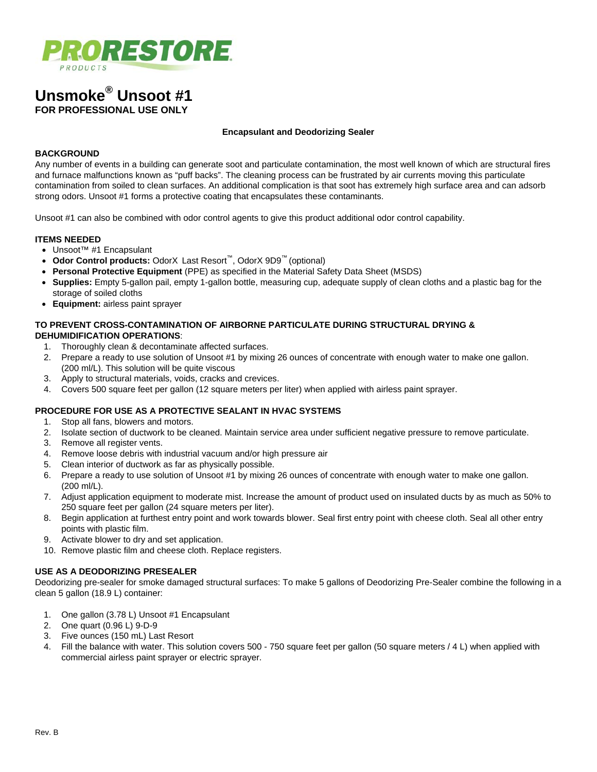

# **Unsmoke® Unsoot #1 FOR PROFESSIONAL USE ONLY**

#### **Encapsulant and Deodorizing Sealer**

# **BACKGROUND**

Any number of events in a building can generate soot and particulate contamination, the most well known of which are structural fires and furnace malfunctions known as "puff backs". The cleaning process can be frustrated by air currents moving this particulate contamination from soiled to clean surfaces. An additional complication is that soot has extremely high surface area and can adsorb strong odors. Unsoot #1 forms a protective coating that encapsulates these contaminants.

Unsoot #1 can also be combined with odor control agents to give this product additional odor control capability.

#### **ITEMS NEEDED**

- Unsoot™ #1 Encapsulant
- **Odor Control products:** OdorX Last Resort™, OdorX 9D9™ (optional)
- **Personal Protective Equipment** (PPE) as specified in the Material Safety Data Sheet (MSDS)
- **Supplies:** Empty 5-gallon pail, empty 1-gallon bottle, measuring cup, adequate supply of clean cloths and a plastic bag for the storage of soiled cloths
- **Equipment:** airless paint sprayer

## **TO PREVENT CROSS-CONTAMINATION OF AIRBORNE PARTICULATE DURING STRUCTURAL DRYING & DEHUMIDIFICATION OPERATIONS**:

- 1. Thoroughly clean & decontaminate affected surfaces.
- 2. Prepare a ready to use solution of Unsoot #1 by mixing 26 ounces of concentrate with enough water to make one gallon. (200 ml/L). This solution will be quite viscous
- 3. Apply to structural materials, voids, cracks and crevices.
- 4. Covers 500 square feet per gallon (12 square meters per liter) when applied with airless paint sprayer.

## **PROCEDURE FOR USE AS A PROTECTIVE SEALANT IN HVAC SYSTEMS**

- 1. Stop all fans, blowers and motors.
- 2. Isolate section of ductwork to be cleaned. Maintain service area under sufficient negative pressure to remove particulate.
- 3. Remove all register vents.
- 4. Remove loose debris with industrial vacuum and/or high pressure air
- 5. Clean interior of ductwork as far as physically possible.
- 6. Prepare a ready to use solution of Unsoot #1 by mixing 26 ounces of concentrate with enough water to make one gallon. (200 ml/L).
- 7. Adjust application equipment to moderate mist. Increase the amount of product used on insulated ducts by as much as 50% to 250 square feet per gallon (24 square meters per liter).
- 8. Begin application at furthest entry point and work towards blower. Seal first entry point with cheese cloth. Seal all other entry points with plastic film.
- 9. Activate blower to dry and set application.
- 10. Remove plastic film and cheese cloth. Replace registers.

## **USE AS A DEODORIZING PRESEALER**

Deodorizing pre-sealer for smoke damaged structural surfaces: To make 5 gallons of Deodorizing Pre-Sealer combine the following in a clean 5 gallon (18.9 L) container:

- 1. One gallon (3.78 L) Unsoot #1 Encapsulant
- 2. One quart (0.96 L) 9-D-9
- 3. Five ounces (150 mL) Last Resort
- 4. Fill the balance with water. This solution covers 500 750 square feet per gallon (50 square meters / 4 L) when applied with commercial airless paint sprayer or electric sprayer.